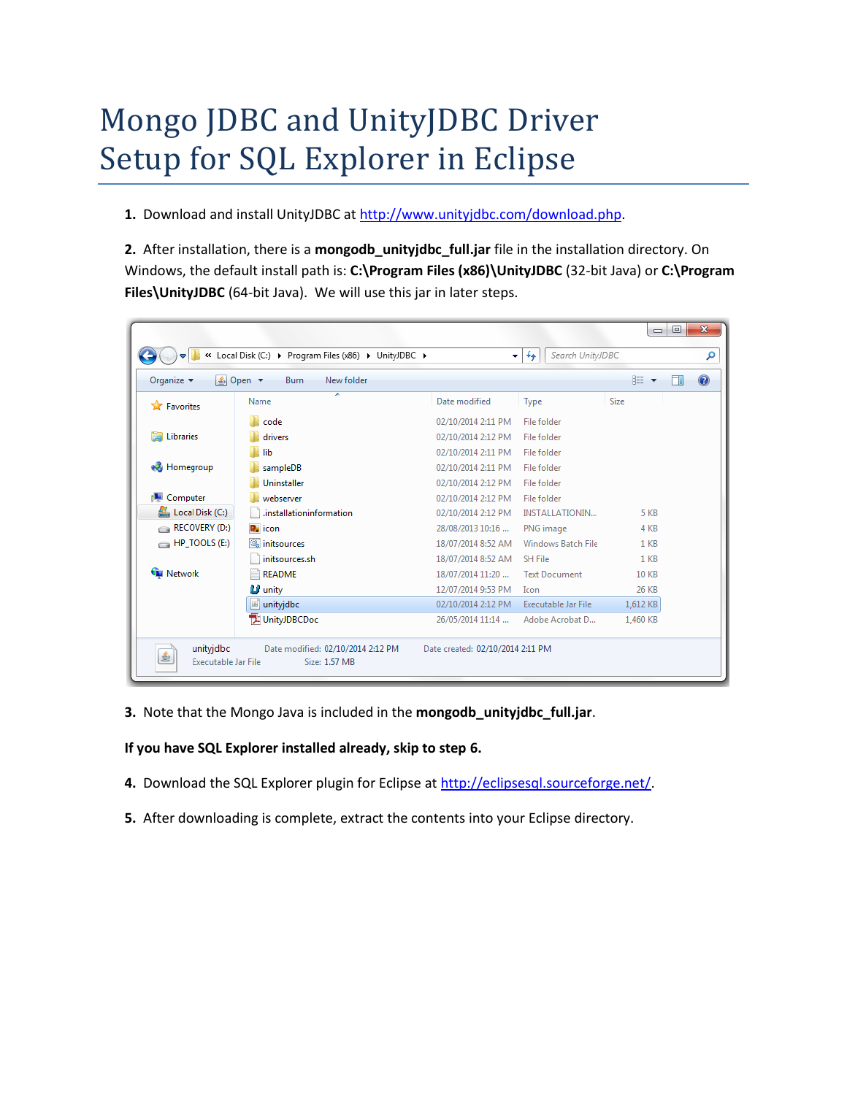## Mongo JDBC and UnityJDBC Driver Setup for SQL Explorer in Eclipse

**1.** Download and install UnityJDBC at [http://www.unityjdbc.com/download.php.](http://www.unityjdbc.com/download.php)

**2.** After installation, there is a **mongodb\_unityjdbc\_full.jar** file in the installation directory. On Windows, the default install path is: **C:\Program Files (x86)\UnityJDBC** (32-bit Java) or **C:\Program Files\UnityJDBC** (64-bit Java). We will use this jar in later steps.

|                               | A « Local Disk (C:) ▶ Program Files (x86) ▶ UnityJDBC ▶ | ÷                  | Search UnityJDBC<br>$+$ |              |             |
|-------------------------------|---------------------------------------------------------|--------------------|-------------------------|--------------|-------------|
| Organize $\blacktriangledown$ | <u>4</u> Open ▼<br>Burn<br>New folder                   |                    |                         | 龍 ▼          | $\circledR$ |
| <b>The Favorites</b>          | ≂<br>Name                                               | Date modified      | Type                    | Size         |             |
|                               | code                                                    | 02/10/2014 2:11 PM | File folder             |              |             |
| <b>En Libraries</b>           | drivers                                                 | 02/10/2014 2:12 PM | File folder             |              |             |
|                               | lib                                                     | 02/10/2014 2:11 PM | File folder             |              |             |
| ed Homegroup                  | sampleDB                                                | 02/10/2014 2:11 PM | File folder             |              |             |
|                               | Uninstaller                                             | 02/10/2014 2:12 PM | File folder             |              |             |
| Computer                      | webserver                                               | 02/10/2014 2:12 PM | File folder             |              |             |
| Local Disk (C:)               | .installationinformation                                | 02/10/2014 2:12 PM | <b>INSTALLATIONIN</b>   | 5 KB         |             |
| $\epsilon$ RECOVERY (D:)      | icon                                                    | 28/08/2013 10:16   | PNG image               | 4 KB         |             |
| $\equiv$ HP_TOOLS (E:)        | IO.<br>initsources                                      | 18/07/2014 8:52 AM | Windows Batch File      | $1$ KB       |             |
|                               | initsources.sh                                          | 18/07/2014 8:52 AM | SH File                 | $1$ KB       |             |
| <b>Gu</b> Network             | <b>README</b>                                           | 18/07/2014 11:20   | <b>Text Document</b>    | <b>10 KB</b> |             |
|                               | <b>L</b> unity                                          | 12/07/2014 9:53 PM | Icon                    | 26 KB        |             |
|                               | unityjdbc                                               | 02/10/2014 2:12 PM | Executable Jar File     | 1,612 KB     |             |
|                               | UnityJDBCDoc                                            | 26/05/2014 11:14   | Adobe Acrobat D         | 1.460 KB     |             |

**3.** Note that the Mongo Java is included in the **mongodb\_unityjdbc\_full.jar**.

**If you have SQL Explorer installed already, skip to step 6.** 

- **4.** Download the SQL Explorer plugin for Eclipse a[t http://eclipsesql.sourceforge.net/.](http://eclipsesql.sourceforge.net/)
- **5.** After downloading is complete, extract the contents into your Eclipse directory.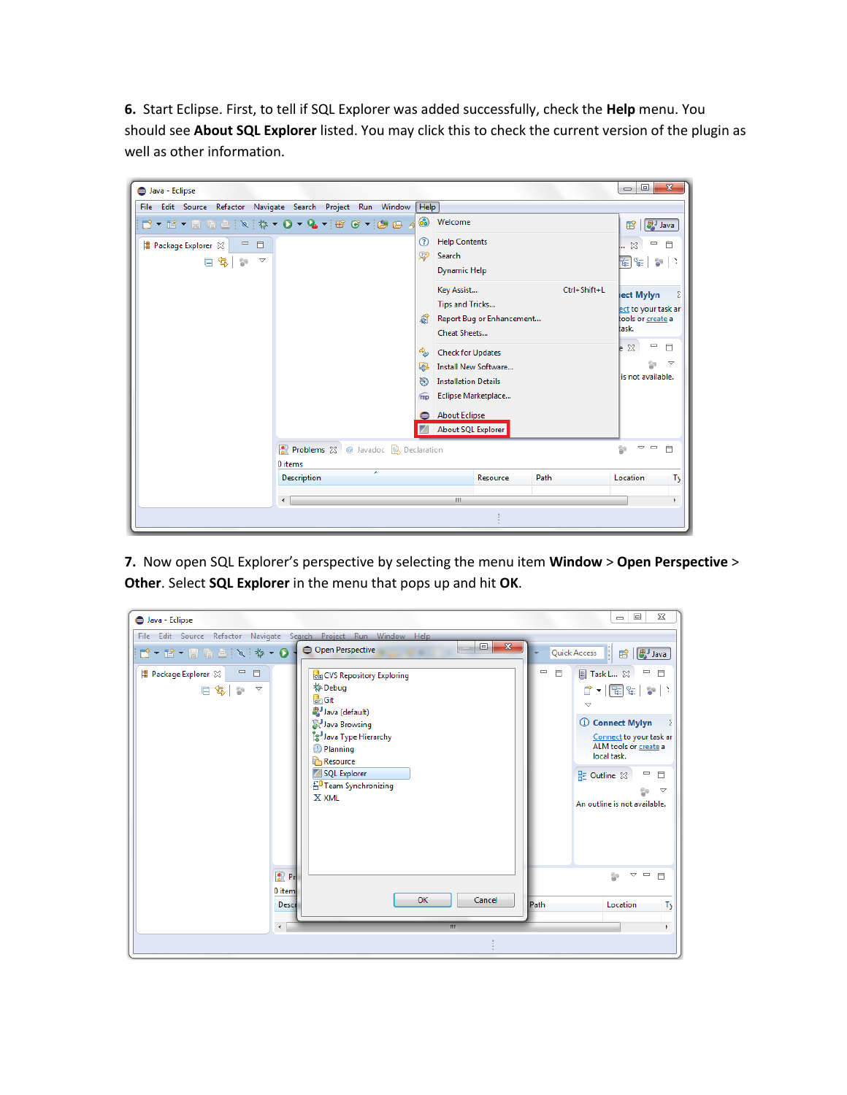**6.** Start Eclipse. First, to tell if SQL Explorer was added successfully, check the **Help** menu. You should see **About SQL Explorer** listed. You may click this to check the current version of the plugin as well as other information.

| Java - Eclipse                                                                                   |                                    |                                                                                                                                             |                           |                                                                                                                      | $\mathbf{z}$<br>$\qquad \qquad \Box$<br>U                                 |
|--------------------------------------------------------------------------------------------------|------------------------------------|---------------------------------------------------------------------------------------------------------------------------------------------|---------------------------|----------------------------------------------------------------------------------------------------------------------|---------------------------------------------------------------------------|
| File Edit Source Refactor Navigate Search Project Run Window Help                                |                                    |                                                                                                                                             |                           |                                                                                                                      |                                                                           |
|                                                                                                  | $\odot$                            | Welcome                                                                                                                                     |                           |                                                                                                                      | <sup>(贵)</sup> Java<br>晗                                                  |
| $\qquad \qquad =$<br>$\Box$<br>  Package Explorer ※<br>日ち<br>$\triangledown$<br>$\frac{c_0}{16}$ | $\circledR$<br>$\mathbb{R}^p$      | <b>Help Contents</b><br>Search<br><b>Dynamic Help</b>                                                                                       |                           |                                                                                                                      | $\Box$<br>$\approx$<br>$\qquad \qquad \blacksquare$<br>酯<br>℃<br>S.<br>-3 |
|                                                                                                  | ÆŤ                                 | Key Assist<br>Tips and Tricks<br>Cheat Sheets                                                                                               | Report Bug or Enhancement | Ctrl+Shift+L                                                                                                         | lect Mylyn<br>ect to your task ar<br>tools or create a<br>task.           |
|                                                                                                  | Rep<br>Q.<br>O)<br>⊜               | <b>Check for Updates</b><br><b>Install New Software</b><br><b>Installation Details</b><br>Eclipse Marketplace<br>mp<br><b>About Eclipse</b> |                           | $\qquad \qquad \blacksquare$<br>$\mathsf{e} \times$<br>$\Box$<br>$\overline{\phantom{0}}$<br>Ŝ9<br>is not available. |                                                                           |
|                                                                                                  | Problems & @ Javadoc @ Declaration | About SQL Explorer                                                                                                                          |                           |                                                                                                                      | $\mathbf{v}$ =<br>ŠЭ<br>$\Box$                                            |
| 0 items                                                                                          |                                    |                                                                                                                                             |                           |                                                                                                                      |                                                                           |
| <b>Description</b>                                                                               | ▴                                  |                                                                                                                                             | Resource                  | Path                                                                                                                 | Location<br>Ty                                                            |
| k.                                                                                               |                                    | $\mathbb{H} \mathbb{H}$                                                                                                                     |                           |                                                                                                                      | k                                                                         |
|                                                                                                  |                                    |                                                                                                                                             |                           |                                                                                                                      |                                                                           |

**7.** Now open SQL Explorer's perspective by selecting the menu item **Window** > **Open Perspective** > **Other**. Select **SQL Explorer** in the menu that pops up and hit **OK**.

| Java - Eclipse                                                                        |                    | 53<br>$\Box$<br>$\qquad \qquad \qquad \Box$                          |
|---------------------------------------------------------------------------------------|--------------------|----------------------------------------------------------------------|
| File Edit Source Refactor Navigate Search Project Run Window Help                     |                    |                                                                      |
| $\mathbf{x}$<br>$\Box$<br><b>CON</b><br>Open Perspective<br>D * B * H & B : N : * * 0 |                    | Quick Access   雷<br><b>思Java</b>                                     |
| - 日<br>  Package Explorer ※  <br>cus CVS Repository Exploring                         | $\equiv$<br>$\Box$ | <b>I</b> Task L 23<br>- 日                                            |
| <b>参 Debug</b><br>日气<br>$\frac{6}{9}$<br>$\bigtriangledown$<br><b>Gri</b> Git         |                    | 0 - E + 6                                                            |
| a Java (default)                                                                      |                    | ▽                                                                    |
| Java Browsing                                                                         |                    | <b><i><u>i</u></i></b> Connect Mylyn                                 |
| <b>Le Java Type Hierarchy</b>                                                         |                    | Connect to your task ar                                              |
| <sup>9</sup> Planning                                                                 |                    | ALM tools or create a<br>local task.                                 |
| Resource<br>SQL Explorer                                                              |                    | $\qquad \qquad =$                                                    |
| 4 <sup>0</sup> Team Synchronizing                                                     |                    | 문 Outline 23<br>$\Box$                                               |
| X XML                                                                                 |                    | $\overline{\phantom{0}}$                                             |
|                                                                                       |                    | An outline is not available.                                         |
|                                                                                       |                    |                                                                      |
|                                                                                       |                    |                                                                      |
|                                                                                       |                    |                                                                      |
|                                                                                       |                    |                                                                      |
| R Pn                                                                                  |                    | ξ9<br>$\triangledown$ $\triangleright$ $\preceq$ $\preceq$ $\preceq$ |
| 0 item<br>OK<br>Cancel                                                                |                    |                                                                      |
| Descr                                                                                 | Path               | Location<br>Τу                                                       |
| $\overline{a}$<br>Ш                                                                   |                    |                                                                      |
|                                                                                       |                    |                                                                      |
|                                                                                       |                    |                                                                      |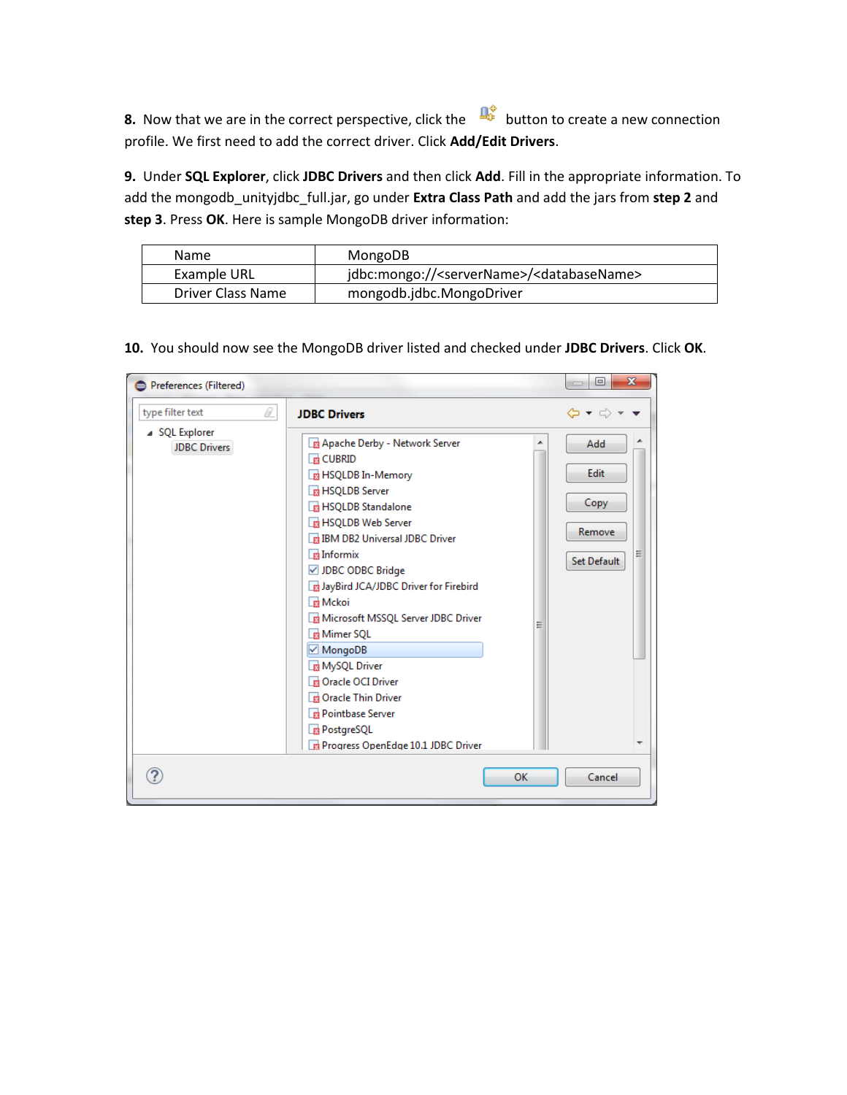**8.** Now that we are in the correct perspective, click the  $\frac{d\phi}{dx}$  button to create a new connection profile. We first need to add the correct driver. Click **Add/Edit Drivers**.

**9.** Under **SQL Explorer**, click **JDBC Drivers** and then click **Add**. Fill in the appropriate information. To add the mongodb\_unityjdbc\_full.jar, go under **Extra Class Path** and add the jars from **step 2** and **step 3**. Press **OK**. Here is sample MongoDB driver information:

| <b>Name</b>       | MongoDB                                                               |
|-------------------|-----------------------------------------------------------------------|
| Example URL       | jdbc:mongo:// <servername>/<databasename></databasename></servername> |
| Driver Class Name | mongodb.jdbc.MongoDriver                                              |

**10.** You should now see the MongoDB driver listed and checked under **JDBC Drivers**. Click **OK**.

| Preferences (Filtered)                |                                                                                                                                                                                                                                                                                                                                                                                                                                                                                                                                                        |    | $\mathbf{x}$<br>回                                        |
|---------------------------------------|--------------------------------------------------------------------------------------------------------------------------------------------------------------------------------------------------------------------------------------------------------------------------------------------------------------------------------------------------------------------------------------------------------------------------------------------------------------------------------------------------------------------------------------------------------|----|----------------------------------------------------------|
| O.<br>type filter text                | <b>JDBC Drivers</b>                                                                                                                                                                                                                                                                                                                                                                                                                                                                                                                                    |    | ⇔ ← ⇔ ←                                                  |
| △ SQL Explorer<br><b>JDBC Drivers</b> | Apache Derby - Network Server<br><b>R</b> CUBRID<br><b>B</b> HSQLDB In-Memory<br><b>HSQLDB</b> Server<br><b>Ex</b> HSQLDB Standalone<br><b>B</b> HSQLDB Web Server<br><b>B</b> IBM DB2 Universal JDBC Driver<br><b>E</b> Informix<br>√ JDBC ODBC Bridge<br>JayBird JCA/JDBC Driver for Firebird<br><b>ER</b> Mckoi<br>Microsoft MSSQL Server JDBC Driver<br><b>Mimer SQL</b><br>MongoDB<br>MySQL Driver<br><b>DR</b> Oracle OCI Driver<br><b>D</b> Oracle Thin Driver<br><b>Pointbase Server</b><br>PostgreSQL<br>R Progress OpenEdge 10.1 JDBC Driver |    | Add<br><b>Edit</b><br>Copy<br>Remove<br>Ξ<br>Set Default |
|                                       |                                                                                                                                                                                                                                                                                                                                                                                                                                                                                                                                                        | OK | Cancel                                                   |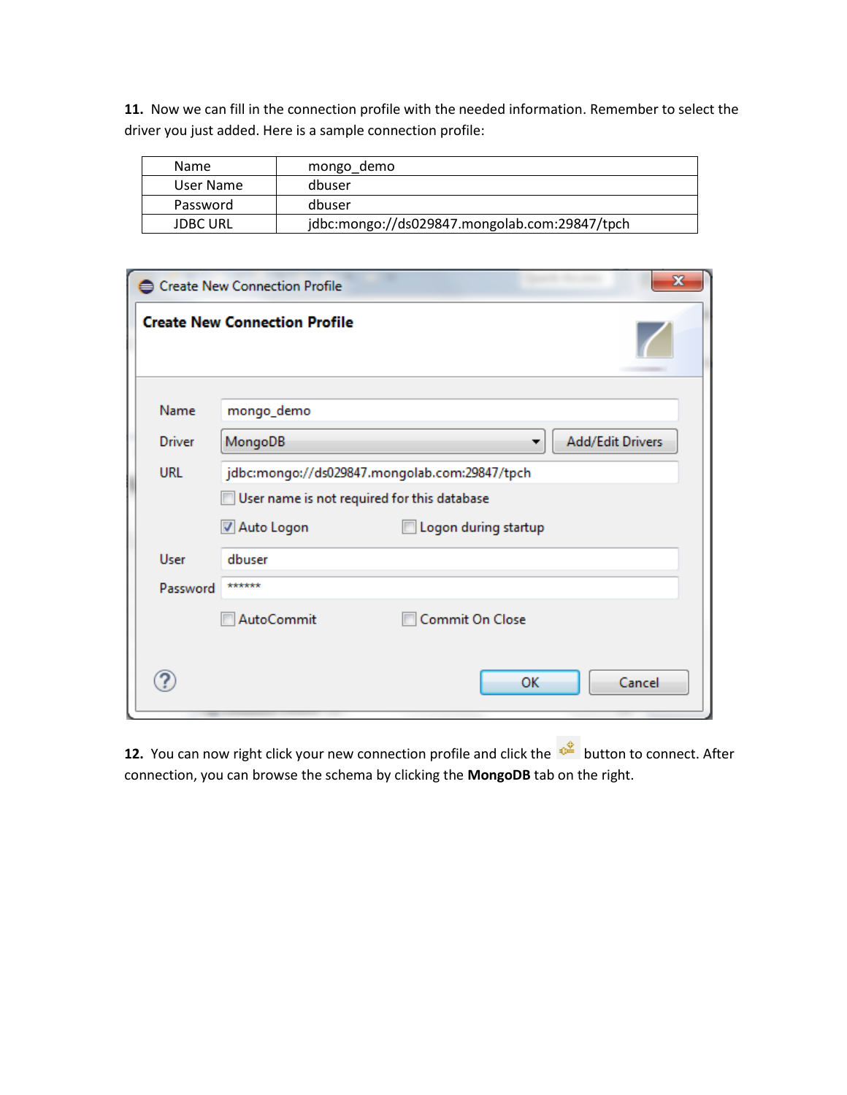**11.** Now we can fill in the connection profile with the needed information. Remember to select the driver you just added. Here is a sample connection profile:

| <b>Name</b>     | mongo demo                                    |
|-----------------|-----------------------------------------------|
| User Name       | dbuser                                        |
| Password        | dbuser                                        |
| <b>JDBC URL</b> | jdbc:mongo://ds029847.mongolab.com:29847/tpch |

|               | X<br>Create New Connection Profile            |  |  |  |  |  |
|---------------|-----------------------------------------------|--|--|--|--|--|
|               | <b>Create New Connection Profile</b>          |  |  |  |  |  |
| Name          | mongo_demo                                    |  |  |  |  |  |
| <b>Driver</b> | <b>Add/Edit Drivers</b><br>MongoDB<br>۰       |  |  |  |  |  |
| URL           | jdbc:mongo://ds029847.mongolab.com:29847/tpch |  |  |  |  |  |
|               | User name is not required for this database   |  |  |  |  |  |
|               | Auto Logon<br>Logon during startup            |  |  |  |  |  |
| User          | dbuser                                        |  |  |  |  |  |
| Password      | ******                                        |  |  |  |  |  |
|               | AutoCommit<br><b>Commit On Close</b>          |  |  |  |  |  |
|               | OK<br>Cancel                                  |  |  |  |  |  |

12. You can now right click your new connection profile and click the **commet of the hutton to connect.** After connection, you can browse the schema by clicking the **MongoDB** tab on the right.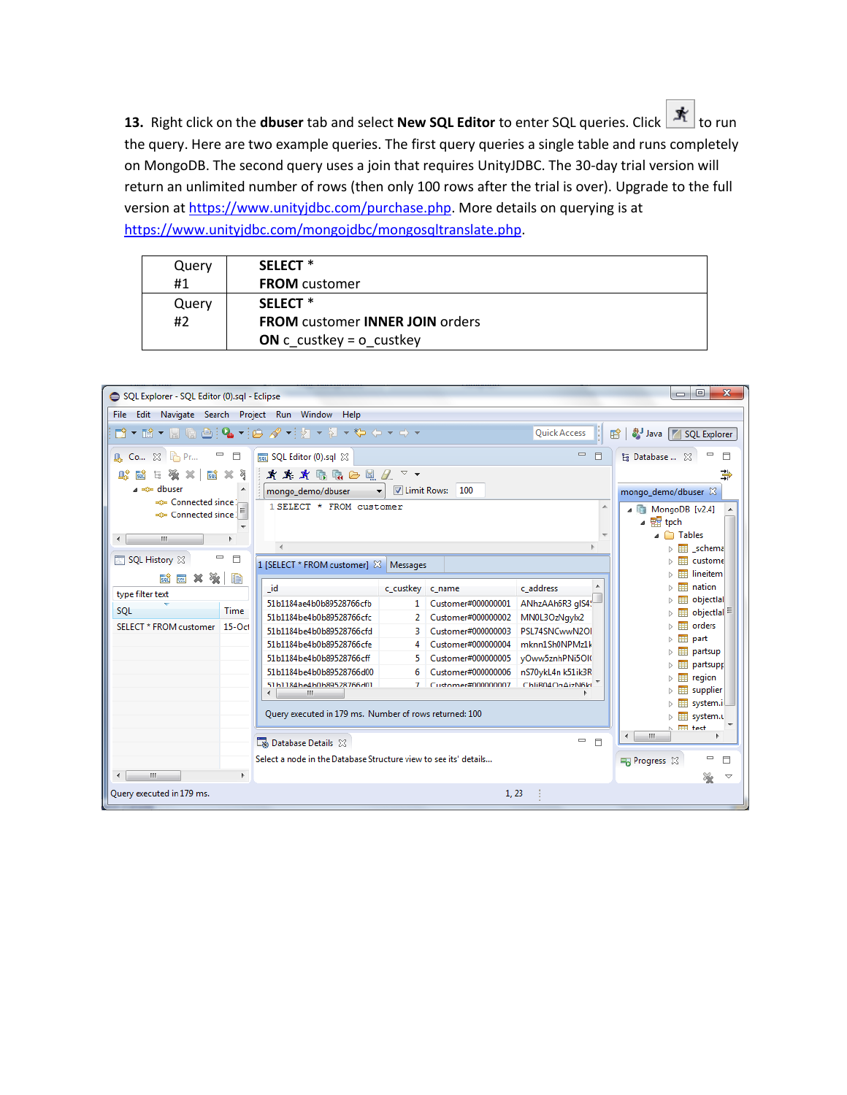**13.** Right click on the **dbuser** tab and select **New SQL Editor** to enter SQL queries. Click to run the query. Here are two example queries. The first query queries a single table and runs completely on MongoDB. The second query uses a join that requires UnityJDBC. The 30-day trial version will return an unlimited number of rows (then only 100 rows after the trial is over). Upgrade to the full version a[t https://www.unityjdbc.com/purchase.php.](https://www.unityjdbc.com/purchase.php) More details on querying is at [https://www.unityjdbc.com/mongojdbc/mongosqltranslate.php.](https://www.unityjdbc.com/mongojdbc/mongosqltranslate.php)

| Query | SELECT <sup>*</sup>                    |
|-------|----------------------------------------|
| #1    | <b>FROM</b> customer                   |
| Query | <b>SELECT</b> *                        |
| #2    | <b>FROM customer INNER JOIN orders</b> |
|       | <b>ON</b> c custkey = $\circ$ custkey  |